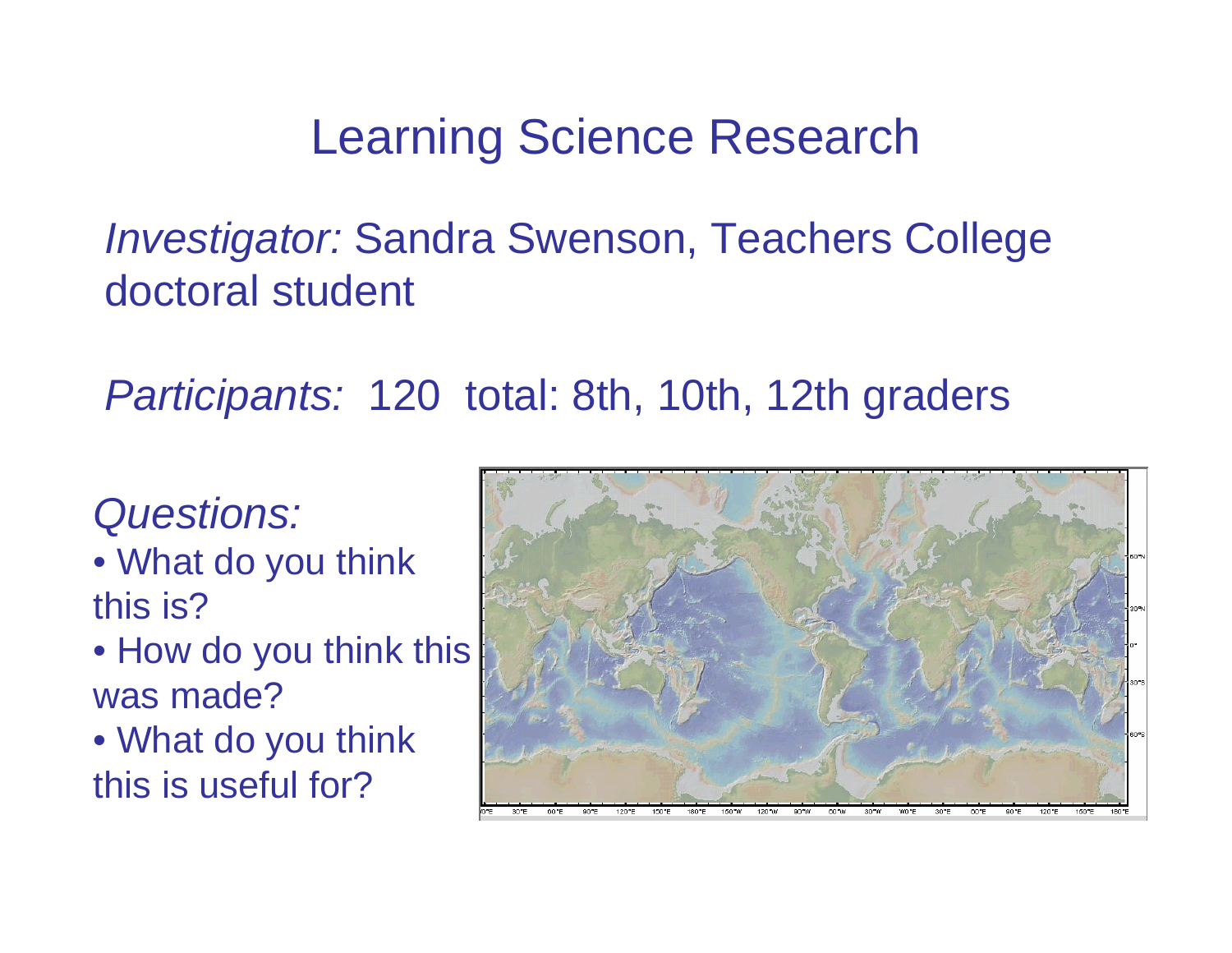## Learning Science Research

*Investigator:* Sandra Swenson, Teachers College doctoral student

*Participants:* 120 total: 8th, 10th, 12th graders

## *Questions:*

- What do you think this is?
- $\bullet$  How do you think this| was made?
- What do you think this is useful for?

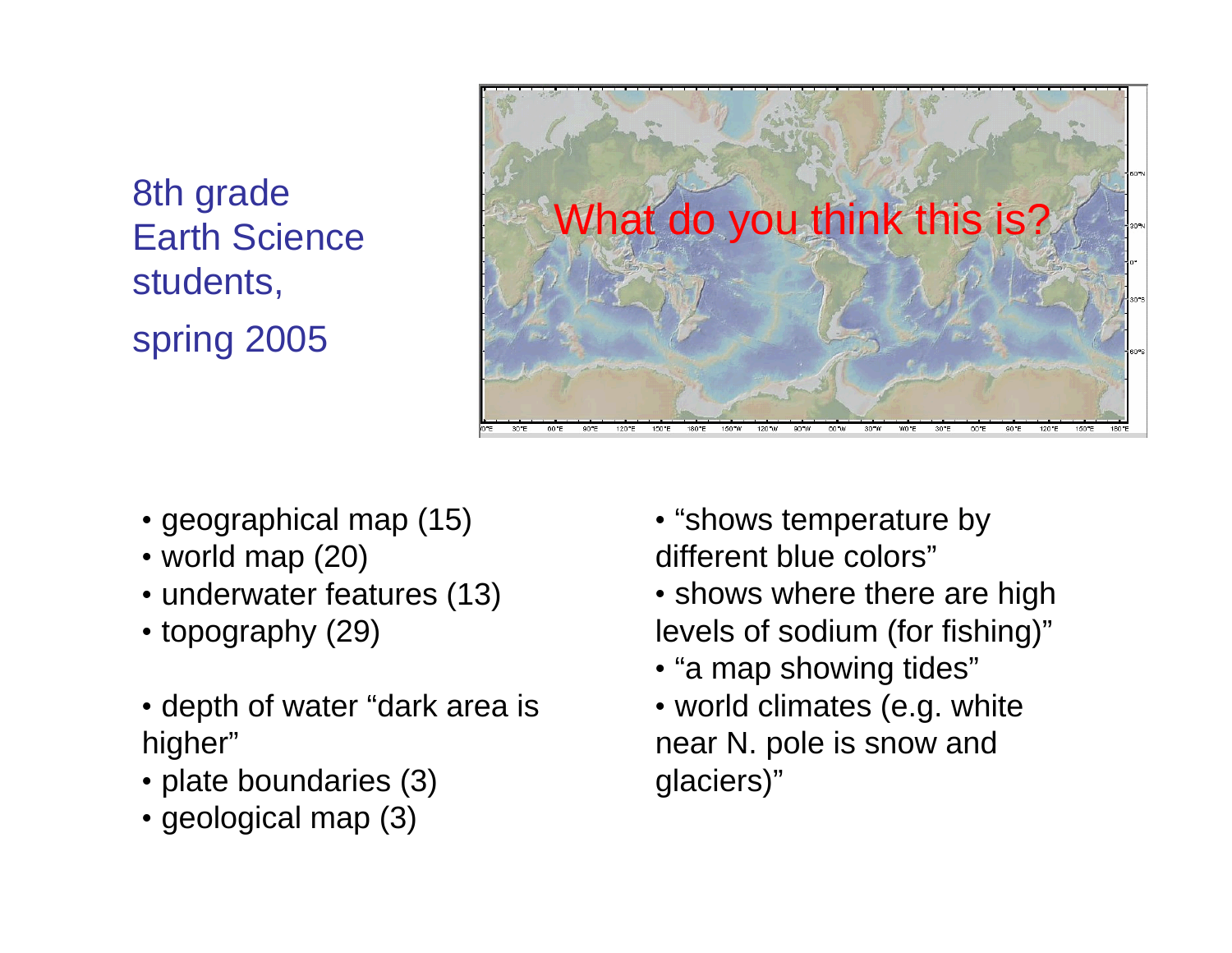8th grade Earth Science students, spring 2005



- geographical map (15)
- world map (20)
- underwater features (13)
- topography (29)
- depth of water "dark area is higher"
- plate boundaries (3)
- geological map (3)
- "shows temperature by different blue colors"
- shows where there are high levels of sodium (for fishing)"
- "a map showing tides"
- world climates (e.g. white near N. pole is snow and glaciers)"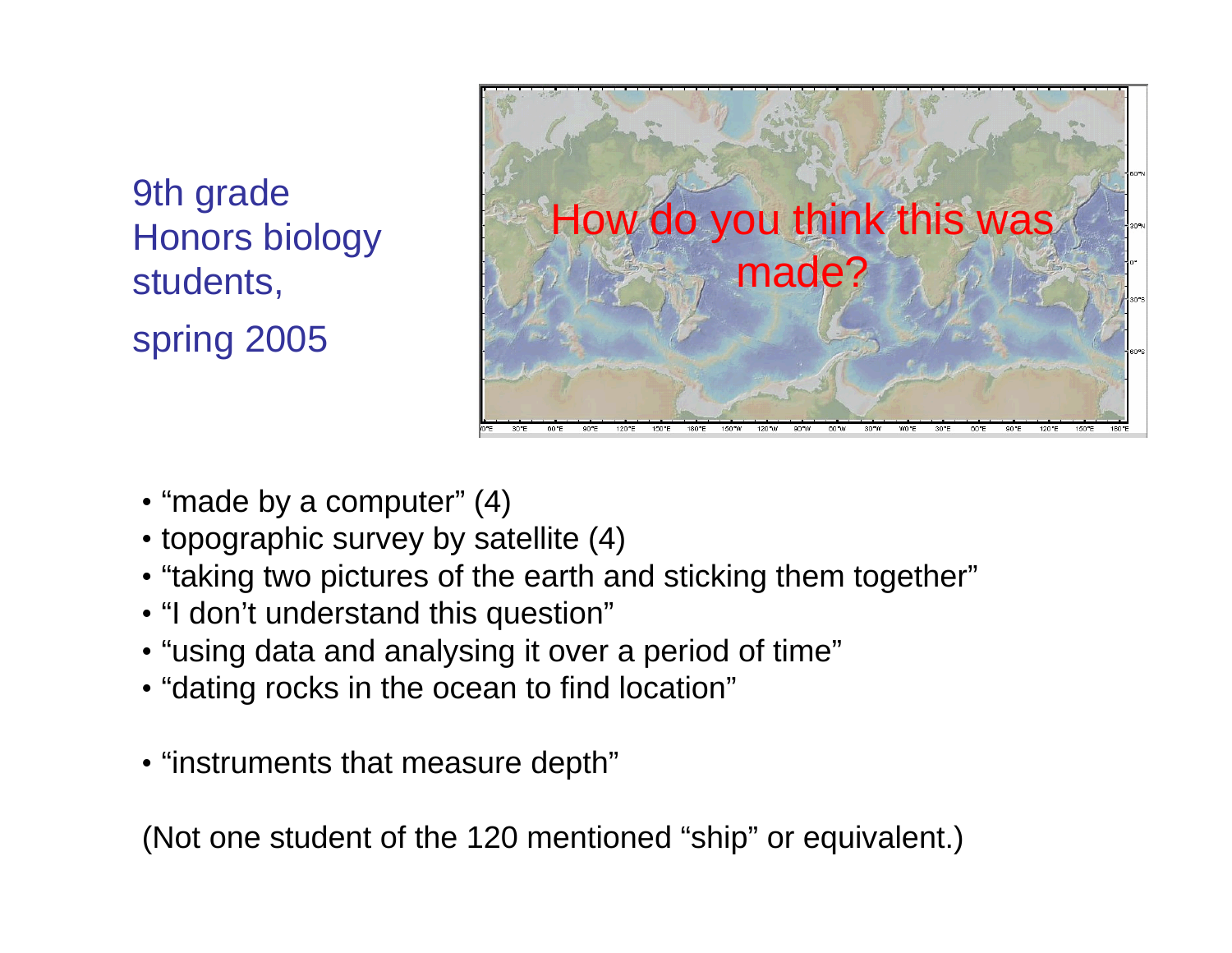9th grade Honors biology students, spring 2005



- "made by a computer" (4)
- topographic survey by satellite (4)
- "taking two pictures of the earth and sticking them together"
- "I don't understand this question"
- "using data and analysing it over a period of time"
- "dating rocks in the ocean to find location"
- "instruments that measure depth"

(Not one student of the 120 mentioned "ship" or equivalent.)